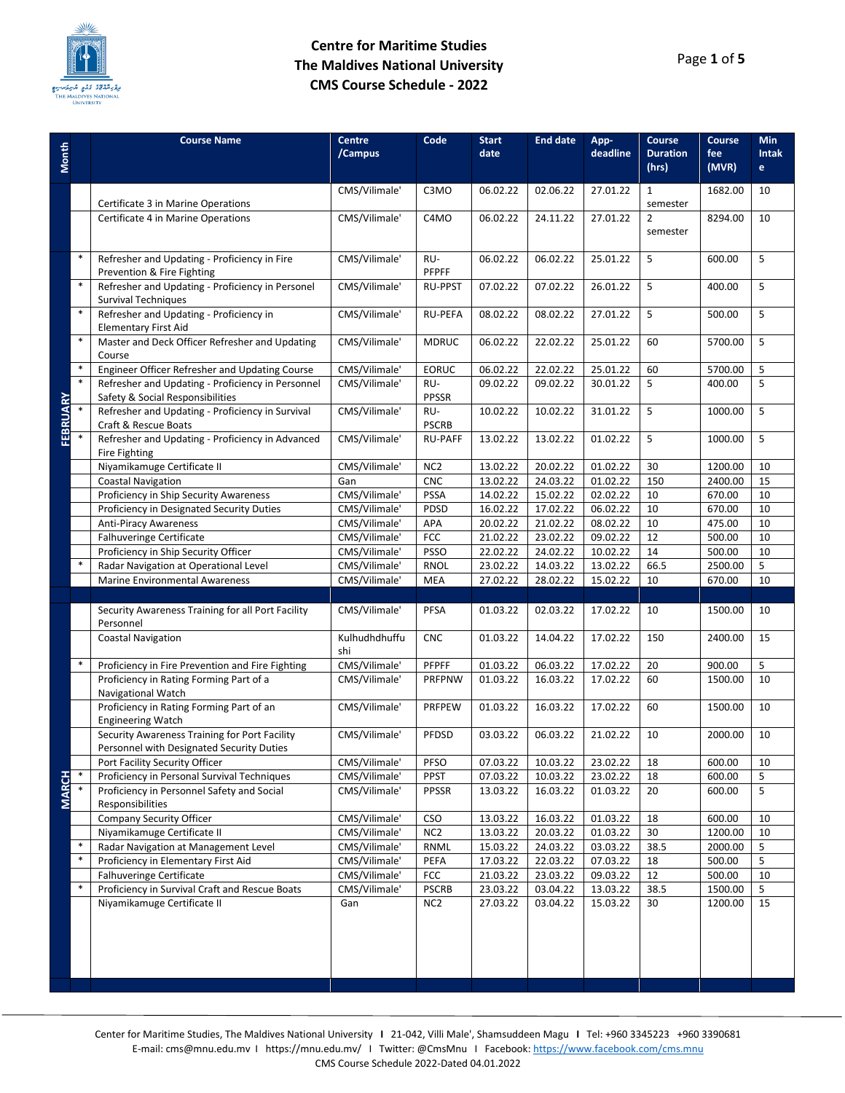

| CMS/Vilimale'<br>C3MO<br>06.02.22<br>02.06.22<br>27.01.22<br>$\mathbf{1}$<br>1682.00<br>10<br>Certificate 3 in Marine Operations<br>semester<br>CMS/Vilimale'<br>10<br>Certificate 4 in Marine Operations<br>C4MO<br>06.02.22<br>24.11.22<br>27.01.22<br>$\overline{2}$<br>8294.00<br>semester<br>$\ast$<br>5<br>Refresher and Updating - Proficiency in Fire<br>CMS/Vilimale'<br>RU-<br>5<br>06.02.22<br>06.02.22<br>25.01.22<br>600.00<br><b>PFPFF</b><br>Prevention & Fire Fighting<br>$\ast$<br>Refresher and Updating - Proficiency in Personel<br>5<br>CMS/Vilimale'<br>5<br><b>RU-PPST</b><br>07.02.22<br>07.02.22<br>400.00<br>26.01.22<br><b>Survival Techniques</b><br>$\ast$<br>Refresher and Updating - Proficiency in<br>CMS/Vilimale'<br>08.02.22<br>08.02.22<br>27.01.22<br>5<br>5<br><b>RU-PEFA</b><br>500.00<br><b>Elementary First Aid</b><br>$\ast$<br>5<br>Master and Deck Officer Refresher and Updating<br>CMS/Vilimale'<br>22.02.22<br>5700.00<br><b>MDRUC</b><br>06.02.22<br>25.01.22<br>60<br>Course<br>$\ast$<br>Engineer Officer Refresher and Updating Course<br>5<br>CMS/Vilimale'<br><b>EORUC</b><br>06.02.22<br>22.02.22<br>25.01.22<br>60<br>5700.00<br>$\ast$<br>5<br>Refresher and Updating - Proficiency in Personnel<br>CMS/Vilimale'<br>RU-<br>5<br>09.02.22<br>09.02.22<br>30.01.22<br>400.00<br><b>FEBRUARY</b><br>Safety & Social Responsibilities<br><b>PPSSR</b><br>Refresher and Updating - Proficiency in Survival<br>5<br>CMS/Vilimale'<br>RU-<br>5<br>10.02.22<br>10.02.22<br>31.01.22<br>1000.00<br>Craft & Rescue Boats<br><b>PSCRB</b><br>Refresher and Updating - Proficiency in Advanced<br>CMS/Vilimale'<br>13.02.22<br>5<br>5<br><b>RU-PAFF</b><br>13.02.22<br>01.02.22<br>1000.00<br>Fire Fighting<br>Niyamikamuge Certificate II<br>CMS/Vilimale'<br>20.02.22<br>30<br>10<br>NC <sub>2</sub><br>13.02.22<br>01.02.22<br>1200.00<br><b>CNC</b><br>13.02.22<br>24.03.22<br>01.02.22<br>150<br>2400.00<br>15<br><b>Coastal Navigation</b><br>Gan<br>Proficiency in Ship Security Awareness<br>02.02.22<br>10<br>670.00<br>CMS/Vilimale'<br><b>PSSA</b><br>14.02.22<br>15.02.22<br>10<br>Proficiency in Designated Security Duties<br>CMS/Vilimale'<br>17.02.22<br>10<br>PDSD<br>16.02.22<br>06.02.22<br>10<br>670.00<br>Anti-Piracy Awareness<br>CMS/Vilimale'<br>20.02.22<br>21.02.22<br>08.02.22<br>475.00<br>10<br>APA<br>10<br>Falhuveringe Certificate<br>CMS/Vilimale'<br><b>FCC</b><br>23.02.22<br>09.02.22<br>12<br>10<br>21.02.22<br>500.00<br>Proficiency in Ship Security Officer<br>CMS/Vilimale'<br>24.02.22<br>14<br><b>PSSO</b><br>22.02.22<br>10.02.22<br>500.00<br>10<br>$\ast$<br>5<br>Radar Navigation at Operational Level<br>CMS/Vilimale'<br>66.5<br><b>RNOL</b><br>23.02.22<br>14.03.22<br>13.02.22<br>2500.00<br>CMS/Vilimale'<br><b>Marine Environmental Awareness</b><br><b>MEA</b><br>27.02.22<br>28.02.22<br>15.02.22<br>10<br>670.00<br>10<br>Security Awareness Training for all Port Facility<br>CMS/Vilimale'<br><b>PFSA</b><br>01.03.22<br>02.03.22<br>17.02.22<br>10<br>1500.00<br>10<br>Personnel<br>Kulhudhdhuffu<br><b>Coastal Navigation</b><br><b>CNC</b><br>01.03.22<br>14.04.22<br>17.02.22<br>150<br>2400.00<br>15<br>shi<br>$\ast$<br>5<br>CMS/Vilimale'<br>Proficiency in Fire Prevention and Fire Fighting<br>PFPFF<br>01.03.22<br>06.03.22<br>17.02.22<br>20<br>900.00<br>Proficiency in Rating Forming Part of a<br>CMS/Vilimale'<br>10<br>PRFPNW<br>01.03.22<br>16.03.22<br>17.02.22<br>60<br>1500.00<br>Navigational Watch<br>Proficiency in Rating Forming Part of an<br>CMS/Vilimale'<br>16.03.22<br>10<br>PRFPEW<br>01.03.22<br>17.02.22<br>60<br>1500.00<br><b>Engineering Watch</b><br>Security Awareness Training for Port Facility<br>CMS/Vilimale'<br>PFDSD<br>03.03.22<br>06.03.22<br>21.02.22<br>10<br>2000.00<br>10<br>Personnel with Designated Security Duties<br>CMS/Vilimale'<br>600.00<br>Port Facility Security Officer<br>PFSO<br>07.03.22<br>10.03.22<br>23.02.22<br>10<br>18<br><b>MARCH</b><br>Proficiency in Personal Survival Techniques<br>PPST<br>600.00<br>CMS/Vilimale'<br>07.03.22<br>10.03.22<br>23.02.22<br>18<br>5<br>Proficiency in Personnel Safety and Social<br>CMS/Vilimale'<br>5<br>PPSSR<br>20<br>600.00<br>13.03.22<br>16.03.22<br>01.03.22<br>Responsibilities<br><b>Company Security Officer</b><br>CMS/Vilimale'<br><b>CSO</b><br>13.03.22<br>16.03.22<br>01.03.22<br>18<br>600.00<br>10<br>Niyamikamuge Certificate II<br>NC <sub>2</sub><br>30<br>CMS/Vilimale'<br>13.03.22<br>20.03.22<br>01.03.22<br>1200.00<br>10<br>$\ast$<br>CMS/Vilimale'<br>15.03.22<br>24.03.22<br>03.03.22<br>38.5<br>2000.00<br>5<br>Radar Navigation at Management Level<br><b>RNML</b><br>$\ast$<br>Proficiency in Elementary First Aid<br>CMS/Vilimale'<br>17.03.22<br>22.03.22<br>07.03.22<br>500.00<br>5<br>PEFA<br>18<br>Falhuveringe Certificate<br>FCC<br>500.00<br>10<br>CMS/Vilimale'<br>21.03.22<br>23.03.22<br>09.03.22<br>12<br>$\ast$<br>Proficiency in Survival Craft and Rescue Boats<br>CMS/Vilimale'<br>23.03.22<br>03.04.22<br>38.5<br>5<br><b>PSCRB</b><br>13.03.22<br>1500.00<br>Niyamikamuge Certificate II<br>15<br>NC <sub>2</sub><br>27.03.22<br>03.04.22<br>15.03.22<br>30<br>1200.00<br>Gan | <b>Month</b> | <b>Course Name</b> | Centre<br>/Campus | Code | <b>Start</b><br>date | <b>End date</b> | App-<br>deadline | Course<br><b>Duration</b><br>(hrs) | Course<br>fee<br>(MVR) | <b>Min</b><br><b>Intak</b><br>e |
|---------------------------------------------------------------------------------------------------------------------------------------------------------------------------------------------------------------------------------------------------------------------------------------------------------------------------------------------------------------------------------------------------------------------------------------------------------------------------------------------------------------------------------------------------------------------------------------------------------------------------------------------------------------------------------------------------------------------------------------------------------------------------------------------------------------------------------------------------------------------------------------------------------------------------------------------------------------------------------------------------------------------------------------------------------------------------------------------------------------------------------------------------------------------------------------------------------------------------------------------------------------------------------------------------------------------------------------------------------------------------------------------------------------------------------------------------------------------------------------------------------------------------------------------------------------------------------------------------------------------------------------------------------------------------------------------------------------------------------------------------------------------------------------------------------------------------------------------------------------------------------------------------------------------------------------------------------------------------------------------------------------------------------------------------------------------------------------------------------------------------------------------------------------------------------------------------------------------------------------------------------------------------------------------------------------------------------------------------------------------------------------------------------------------------------------------------------------------------------------------------------------------------------------------------------------------------------------------------------------------------------------------------------------------------------------------------------------------------------------------------------------------------------------------------------------------------------------------------------------------------------------------------------------------------------------------------------------------------------------------------------------------------------------------------------------------------------------------------------------------------------------------------------------------------------------------------------------------------------------------------------------------------------------------------------------------------------------------------------------------------------------------------------------------------------------------------------------------------------------------------------------------------------------------------------------------------------------------------------------------------------------------------------------------------------------------------------------------------------------------------------------------------------------------------------------------------------------------------------------------------------------------------------------------------------------------------------------------------------------------------------------------------------------------------------------------------------------------------------------------------------------------------------------------------------------------------------------------------------------------------------------------------------------------------------------------------------------------------------------------------------------------------------------------------------------------------------------------------------------------------------------------------------------------------------------------------------------------------------------------------------------------------------------------------------------------------------------------------------------------------------------------------------------------------------------------------------------------------------------------------------------------------------------------------------------------------------------------------------------------------------------------------------------------------------------------------------------------------------------------------------------------------------------------------------------------------------------------------------------------------|--------------|--------------------|-------------------|------|----------------------|-----------------|------------------|------------------------------------|------------------------|---------------------------------|
|                                                                                                                                                                                                                                                                                                                                                                                                                                                                                                                                                                                                                                                                                                                                                                                                                                                                                                                                                                                                                                                                                                                                                                                                                                                                                                                                                                                                                                                                                                                                                                                                                                                                                                                                                                                                                                                                                                                                                                                                                                                                                                                                                                                                                                                                                                                                                                                                                                                                                                                                                                                                                                                                                                                                                                                                                                                                                                                                                                                                                                                                                                                                                                                                                                                                                                                                                                                                                                                                                                                                                                                                                                                                                                                                                                                                                                                                                                                                                                                                                                                                                                                                                                                                                                                                                                                                                                                                                                                                                                                                                                                                                                                                                                                                                                                                                                                                                                                                                                                                                                                                                                                                                                                                                                                   |              |                    |                   |      |                      |                 |                  |                                    |                        |                                 |
|                                                                                                                                                                                                                                                                                                                                                                                                                                                                                                                                                                                                                                                                                                                                                                                                                                                                                                                                                                                                                                                                                                                                                                                                                                                                                                                                                                                                                                                                                                                                                                                                                                                                                                                                                                                                                                                                                                                                                                                                                                                                                                                                                                                                                                                                                                                                                                                                                                                                                                                                                                                                                                                                                                                                                                                                                                                                                                                                                                                                                                                                                                                                                                                                                                                                                                                                                                                                                                                                                                                                                                                                                                                                                                                                                                                                                                                                                                                                                                                                                                                                                                                                                                                                                                                                                                                                                                                                                                                                                                                                                                                                                                                                                                                                                                                                                                                                                                                                                                                                                                                                                                                                                                                                                                                   |              |                    |                   |      |                      |                 |                  |                                    |                        |                                 |
|                                                                                                                                                                                                                                                                                                                                                                                                                                                                                                                                                                                                                                                                                                                                                                                                                                                                                                                                                                                                                                                                                                                                                                                                                                                                                                                                                                                                                                                                                                                                                                                                                                                                                                                                                                                                                                                                                                                                                                                                                                                                                                                                                                                                                                                                                                                                                                                                                                                                                                                                                                                                                                                                                                                                                                                                                                                                                                                                                                                                                                                                                                                                                                                                                                                                                                                                                                                                                                                                                                                                                                                                                                                                                                                                                                                                                                                                                                                                                                                                                                                                                                                                                                                                                                                                                                                                                                                                                                                                                                                                                                                                                                                                                                                                                                                                                                                                                                                                                                                                                                                                                                                                                                                                                                                   |              |                    |                   |      |                      |                 |                  |                                    |                        |                                 |
|                                                                                                                                                                                                                                                                                                                                                                                                                                                                                                                                                                                                                                                                                                                                                                                                                                                                                                                                                                                                                                                                                                                                                                                                                                                                                                                                                                                                                                                                                                                                                                                                                                                                                                                                                                                                                                                                                                                                                                                                                                                                                                                                                                                                                                                                                                                                                                                                                                                                                                                                                                                                                                                                                                                                                                                                                                                                                                                                                                                                                                                                                                                                                                                                                                                                                                                                                                                                                                                                                                                                                                                                                                                                                                                                                                                                                                                                                                                                                                                                                                                                                                                                                                                                                                                                                                                                                                                                                                                                                                                                                                                                                                                                                                                                                                                                                                                                                                                                                                                                                                                                                                                                                                                                                                                   |              |                    |                   |      |                      |                 |                  |                                    |                        |                                 |
|                                                                                                                                                                                                                                                                                                                                                                                                                                                                                                                                                                                                                                                                                                                                                                                                                                                                                                                                                                                                                                                                                                                                                                                                                                                                                                                                                                                                                                                                                                                                                                                                                                                                                                                                                                                                                                                                                                                                                                                                                                                                                                                                                                                                                                                                                                                                                                                                                                                                                                                                                                                                                                                                                                                                                                                                                                                                                                                                                                                                                                                                                                                                                                                                                                                                                                                                                                                                                                                                                                                                                                                                                                                                                                                                                                                                                                                                                                                                                                                                                                                                                                                                                                                                                                                                                                                                                                                                                                                                                                                                                                                                                                                                                                                                                                                                                                                                                                                                                                                                                                                                                                                                                                                                                                                   |              |                    |                   |      |                      |                 |                  |                                    |                        |                                 |
|                                                                                                                                                                                                                                                                                                                                                                                                                                                                                                                                                                                                                                                                                                                                                                                                                                                                                                                                                                                                                                                                                                                                                                                                                                                                                                                                                                                                                                                                                                                                                                                                                                                                                                                                                                                                                                                                                                                                                                                                                                                                                                                                                                                                                                                                                                                                                                                                                                                                                                                                                                                                                                                                                                                                                                                                                                                                                                                                                                                                                                                                                                                                                                                                                                                                                                                                                                                                                                                                                                                                                                                                                                                                                                                                                                                                                                                                                                                                                                                                                                                                                                                                                                                                                                                                                                                                                                                                                                                                                                                                                                                                                                                                                                                                                                                                                                                                                                                                                                                                                                                                                                                                                                                                                                                   |              |                    |                   |      |                      |                 |                  |                                    |                        |                                 |
|                                                                                                                                                                                                                                                                                                                                                                                                                                                                                                                                                                                                                                                                                                                                                                                                                                                                                                                                                                                                                                                                                                                                                                                                                                                                                                                                                                                                                                                                                                                                                                                                                                                                                                                                                                                                                                                                                                                                                                                                                                                                                                                                                                                                                                                                                                                                                                                                                                                                                                                                                                                                                                                                                                                                                                                                                                                                                                                                                                                                                                                                                                                                                                                                                                                                                                                                                                                                                                                                                                                                                                                                                                                                                                                                                                                                                                                                                                                                                                                                                                                                                                                                                                                                                                                                                                                                                                                                                                                                                                                                                                                                                                                                                                                                                                                                                                                                                                                                                                                                                                                                                                                                                                                                                                                   |              |                    |                   |      |                      |                 |                  |                                    |                        |                                 |
|                                                                                                                                                                                                                                                                                                                                                                                                                                                                                                                                                                                                                                                                                                                                                                                                                                                                                                                                                                                                                                                                                                                                                                                                                                                                                                                                                                                                                                                                                                                                                                                                                                                                                                                                                                                                                                                                                                                                                                                                                                                                                                                                                                                                                                                                                                                                                                                                                                                                                                                                                                                                                                                                                                                                                                                                                                                                                                                                                                                                                                                                                                                                                                                                                                                                                                                                                                                                                                                                                                                                                                                                                                                                                                                                                                                                                                                                                                                                                                                                                                                                                                                                                                                                                                                                                                                                                                                                                                                                                                                                                                                                                                                                                                                                                                                                                                                                                                                                                                                                                                                                                                                                                                                                                                                   |              |                    |                   |      |                      |                 |                  |                                    |                        |                                 |
|                                                                                                                                                                                                                                                                                                                                                                                                                                                                                                                                                                                                                                                                                                                                                                                                                                                                                                                                                                                                                                                                                                                                                                                                                                                                                                                                                                                                                                                                                                                                                                                                                                                                                                                                                                                                                                                                                                                                                                                                                                                                                                                                                                                                                                                                                                                                                                                                                                                                                                                                                                                                                                                                                                                                                                                                                                                                                                                                                                                                                                                                                                                                                                                                                                                                                                                                                                                                                                                                                                                                                                                                                                                                                                                                                                                                                                                                                                                                                                                                                                                                                                                                                                                                                                                                                                                                                                                                                                                                                                                                                                                                                                                                                                                                                                                                                                                                                                                                                                                                                                                                                                                                                                                                                                                   |              |                    |                   |      |                      |                 |                  |                                    |                        |                                 |
|                                                                                                                                                                                                                                                                                                                                                                                                                                                                                                                                                                                                                                                                                                                                                                                                                                                                                                                                                                                                                                                                                                                                                                                                                                                                                                                                                                                                                                                                                                                                                                                                                                                                                                                                                                                                                                                                                                                                                                                                                                                                                                                                                                                                                                                                                                                                                                                                                                                                                                                                                                                                                                                                                                                                                                                                                                                                                                                                                                                                                                                                                                                                                                                                                                                                                                                                                                                                                                                                                                                                                                                                                                                                                                                                                                                                                                                                                                                                                                                                                                                                                                                                                                                                                                                                                                                                                                                                                                                                                                                                                                                                                                                                                                                                                                                                                                                                                                                                                                                                                                                                                                                                                                                                                                                   |              |                    |                   |      |                      |                 |                  |                                    |                        |                                 |
|                                                                                                                                                                                                                                                                                                                                                                                                                                                                                                                                                                                                                                                                                                                                                                                                                                                                                                                                                                                                                                                                                                                                                                                                                                                                                                                                                                                                                                                                                                                                                                                                                                                                                                                                                                                                                                                                                                                                                                                                                                                                                                                                                                                                                                                                                                                                                                                                                                                                                                                                                                                                                                                                                                                                                                                                                                                                                                                                                                                                                                                                                                                                                                                                                                                                                                                                                                                                                                                                                                                                                                                                                                                                                                                                                                                                                                                                                                                                                                                                                                                                                                                                                                                                                                                                                                                                                                                                                                                                                                                                                                                                                                                                                                                                                                                                                                                                                                                                                                                                                                                                                                                                                                                                                                                   |              |                    |                   |      |                      |                 |                  |                                    |                        |                                 |
|                                                                                                                                                                                                                                                                                                                                                                                                                                                                                                                                                                                                                                                                                                                                                                                                                                                                                                                                                                                                                                                                                                                                                                                                                                                                                                                                                                                                                                                                                                                                                                                                                                                                                                                                                                                                                                                                                                                                                                                                                                                                                                                                                                                                                                                                                                                                                                                                                                                                                                                                                                                                                                                                                                                                                                                                                                                                                                                                                                                                                                                                                                                                                                                                                                                                                                                                                                                                                                                                                                                                                                                                                                                                                                                                                                                                                                                                                                                                                                                                                                                                                                                                                                                                                                                                                                                                                                                                                                                                                                                                                                                                                                                                                                                                                                                                                                                                                                                                                                                                                                                                                                                                                                                                                                                   |              |                    |                   |      |                      |                 |                  |                                    |                        |                                 |
|                                                                                                                                                                                                                                                                                                                                                                                                                                                                                                                                                                                                                                                                                                                                                                                                                                                                                                                                                                                                                                                                                                                                                                                                                                                                                                                                                                                                                                                                                                                                                                                                                                                                                                                                                                                                                                                                                                                                                                                                                                                                                                                                                                                                                                                                                                                                                                                                                                                                                                                                                                                                                                                                                                                                                                                                                                                                                                                                                                                                                                                                                                                                                                                                                                                                                                                                                                                                                                                                                                                                                                                                                                                                                                                                                                                                                                                                                                                                                                                                                                                                                                                                                                                                                                                                                                                                                                                                                                                                                                                                                                                                                                                                                                                                                                                                                                                                                                                                                                                                                                                                                                                                                                                                                                                   |              |                    |                   |      |                      |                 |                  |                                    |                        |                                 |
|                                                                                                                                                                                                                                                                                                                                                                                                                                                                                                                                                                                                                                                                                                                                                                                                                                                                                                                                                                                                                                                                                                                                                                                                                                                                                                                                                                                                                                                                                                                                                                                                                                                                                                                                                                                                                                                                                                                                                                                                                                                                                                                                                                                                                                                                                                                                                                                                                                                                                                                                                                                                                                                                                                                                                                                                                                                                                                                                                                                                                                                                                                                                                                                                                                                                                                                                                                                                                                                                                                                                                                                                                                                                                                                                                                                                                                                                                                                                                                                                                                                                                                                                                                                                                                                                                                                                                                                                                                                                                                                                                                                                                                                                                                                                                                                                                                                                                                                                                                                                                                                                                                                                                                                                                                                   |              |                    |                   |      |                      |                 |                  |                                    |                        |                                 |
|                                                                                                                                                                                                                                                                                                                                                                                                                                                                                                                                                                                                                                                                                                                                                                                                                                                                                                                                                                                                                                                                                                                                                                                                                                                                                                                                                                                                                                                                                                                                                                                                                                                                                                                                                                                                                                                                                                                                                                                                                                                                                                                                                                                                                                                                                                                                                                                                                                                                                                                                                                                                                                                                                                                                                                                                                                                                                                                                                                                                                                                                                                                                                                                                                                                                                                                                                                                                                                                                                                                                                                                                                                                                                                                                                                                                                                                                                                                                                                                                                                                                                                                                                                                                                                                                                                                                                                                                                                                                                                                                                                                                                                                                                                                                                                                                                                                                                                                                                                                                                                                                                                                                                                                                                                                   |              |                    |                   |      |                      |                 |                  |                                    |                        |                                 |
|                                                                                                                                                                                                                                                                                                                                                                                                                                                                                                                                                                                                                                                                                                                                                                                                                                                                                                                                                                                                                                                                                                                                                                                                                                                                                                                                                                                                                                                                                                                                                                                                                                                                                                                                                                                                                                                                                                                                                                                                                                                                                                                                                                                                                                                                                                                                                                                                                                                                                                                                                                                                                                                                                                                                                                                                                                                                                                                                                                                                                                                                                                                                                                                                                                                                                                                                                                                                                                                                                                                                                                                                                                                                                                                                                                                                                                                                                                                                                                                                                                                                                                                                                                                                                                                                                                                                                                                                                                                                                                                                                                                                                                                                                                                                                                                                                                                                                                                                                                                                                                                                                                                                                                                                                                                   |              |                    |                   |      |                      |                 |                  |                                    |                        |                                 |
|                                                                                                                                                                                                                                                                                                                                                                                                                                                                                                                                                                                                                                                                                                                                                                                                                                                                                                                                                                                                                                                                                                                                                                                                                                                                                                                                                                                                                                                                                                                                                                                                                                                                                                                                                                                                                                                                                                                                                                                                                                                                                                                                                                                                                                                                                                                                                                                                                                                                                                                                                                                                                                                                                                                                                                                                                                                                                                                                                                                                                                                                                                                                                                                                                                                                                                                                                                                                                                                                                                                                                                                                                                                                                                                                                                                                                                                                                                                                                                                                                                                                                                                                                                                                                                                                                                                                                                                                                                                                                                                                                                                                                                                                                                                                                                                                                                                                                                                                                                                                                                                                                                                                                                                                                                                   |              |                    |                   |      |                      |                 |                  |                                    |                        |                                 |
|                                                                                                                                                                                                                                                                                                                                                                                                                                                                                                                                                                                                                                                                                                                                                                                                                                                                                                                                                                                                                                                                                                                                                                                                                                                                                                                                                                                                                                                                                                                                                                                                                                                                                                                                                                                                                                                                                                                                                                                                                                                                                                                                                                                                                                                                                                                                                                                                                                                                                                                                                                                                                                                                                                                                                                                                                                                                                                                                                                                                                                                                                                                                                                                                                                                                                                                                                                                                                                                                                                                                                                                                                                                                                                                                                                                                                                                                                                                                                                                                                                                                                                                                                                                                                                                                                                                                                                                                                                                                                                                                                                                                                                                                                                                                                                                                                                                                                                                                                                                                                                                                                                                                                                                                                                                   |              |                    |                   |      |                      |                 |                  |                                    |                        |                                 |
|                                                                                                                                                                                                                                                                                                                                                                                                                                                                                                                                                                                                                                                                                                                                                                                                                                                                                                                                                                                                                                                                                                                                                                                                                                                                                                                                                                                                                                                                                                                                                                                                                                                                                                                                                                                                                                                                                                                                                                                                                                                                                                                                                                                                                                                                                                                                                                                                                                                                                                                                                                                                                                                                                                                                                                                                                                                                                                                                                                                                                                                                                                                                                                                                                                                                                                                                                                                                                                                                                                                                                                                                                                                                                                                                                                                                                                                                                                                                                                                                                                                                                                                                                                                                                                                                                                                                                                                                                                                                                                                                                                                                                                                                                                                                                                                                                                                                                                                                                                                                                                                                                                                                                                                                                                                   |              |                    |                   |      |                      |                 |                  |                                    |                        |                                 |
|                                                                                                                                                                                                                                                                                                                                                                                                                                                                                                                                                                                                                                                                                                                                                                                                                                                                                                                                                                                                                                                                                                                                                                                                                                                                                                                                                                                                                                                                                                                                                                                                                                                                                                                                                                                                                                                                                                                                                                                                                                                                                                                                                                                                                                                                                                                                                                                                                                                                                                                                                                                                                                                                                                                                                                                                                                                                                                                                                                                                                                                                                                                                                                                                                                                                                                                                                                                                                                                                                                                                                                                                                                                                                                                                                                                                                                                                                                                                                                                                                                                                                                                                                                                                                                                                                                                                                                                                                                                                                                                                                                                                                                                                                                                                                                                                                                                                                                                                                                                                                                                                                                                                                                                                                                                   |              |                    |                   |      |                      |                 |                  |                                    |                        |                                 |
|                                                                                                                                                                                                                                                                                                                                                                                                                                                                                                                                                                                                                                                                                                                                                                                                                                                                                                                                                                                                                                                                                                                                                                                                                                                                                                                                                                                                                                                                                                                                                                                                                                                                                                                                                                                                                                                                                                                                                                                                                                                                                                                                                                                                                                                                                                                                                                                                                                                                                                                                                                                                                                                                                                                                                                                                                                                                                                                                                                                                                                                                                                                                                                                                                                                                                                                                                                                                                                                                                                                                                                                                                                                                                                                                                                                                                                                                                                                                                                                                                                                                                                                                                                                                                                                                                                                                                                                                                                                                                                                                                                                                                                                                                                                                                                                                                                                                                                                                                                                                                                                                                                                                                                                                                                                   |              |                    |                   |      |                      |                 |                  |                                    |                        |                                 |
|                                                                                                                                                                                                                                                                                                                                                                                                                                                                                                                                                                                                                                                                                                                                                                                                                                                                                                                                                                                                                                                                                                                                                                                                                                                                                                                                                                                                                                                                                                                                                                                                                                                                                                                                                                                                                                                                                                                                                                                                                                                                                                                                                                                                                                                                                                                                                                                                                                                                                                                                                                                                                                                                                                                                                                                                                                                                                                                                                                                                                                                                                                                                                                                                                                                                                                                                                                                                                                                                                                                                                                                                                                                                                                                                                                                                                                                                                                                                                                                                                                                                                                                                                                                                                                                                                                                                                                                                                                                                                                                                                                                                                                                                                                                                                                                                                                                                                                                                                                                                                                                                                                                                                                                                                                                   |              |                    |                   |      |                      |                 |                  |                                    |                        |                                 |
|                                                                                                                                                                                                                                                                                                                                                                                                                                                                                                                                                                                                                                                                                                                                                                                                                                                                                                                                                                                                                                                                                                                                                                                                                                                                                                                                                                                                                                                                                                                                                                                                                                                                                                                                                                                                                                                                                                                                                                                                                                                                                                                                                                                                                                                                                                                                                                                                                                                                                                                                                                                                                                                                                                                                                                                                                                                                                                                                                                                                                                                                                                                                                                                                                                                                                                                                                                                                                                                                                                                                                                                                                                                                                                                                                                                                                                                                                                                                                                                                                                                                                                                                                                                                                                                                                                                                                                                                                                                                                                                                                                                                                                                                                                                                                                                                                                                                                                                                                                                                                                                                                                                                                                                                                                                   |              |                    |                   |      |                      |                 |                  |                                    |                        |                                 |
|                                                                                                                                                                                                                                                                                                                                                                                                                                                                                                                                                                                                                                                                                                                                                                                                                                                                                                                                                                                                                                                                                                                                                                                                                                                                                                                                                                                                                                                                                                                                                                                                                                                                                                                                                                                                                                                                                                                                                                                                                                                                                                                                                                                                                                                                                                                                                                                                                                                                                                                                                                                                                                                                                                                                                                                                                                                                                                                                                                                                                                                                                                                                                                                                                                                                                                                                                                                                                                                                                                                                                                                                                                                                                                                                                                                                                                                                                                                                                                                                                                                                                                                                                                                                                                                                                                                                                                                                                                                                                                                                                                                                                                                                                                                                                                                                                                                                                                                                                                                                                                                                                                                                                                                                                                                   |              |                    |                   |      |                      |                 |                  |                                    |                        |                                 |
|                                                                                                                                                                                                                                                                                                                                                                                                                                                                                                                                                                                                                                                                                                                                                                                                                                                                                                                                                                                                                                                                                                                                                                                                                                                                                                                                                                                                                                                                                                                                                                                                                                                                                                                                                                                                                                                                                                                                                                                                                                                                                                                                                                                                                                                                                                                                                                                                                                                                                                                                                                                                                                                                                                                                                                                                                                                                                                                                                                                                                                                                                                                                                                                                                                                                                                                                                                                                                                                                                                                                                                                                                                                                                                                                                                                                                                                                                                                                                                                                                                                                                                                                                                                                                                                                                                                                                                                                                                                                                                                                                                                                                                                                                                                                                                                                                                                                                                                                                                                                                                                                                                                                                                                                                                                   |              |                    |                   |      |                      |                 |                  |                                    |                        |                                 |
|                                                                                                                                                                                                                                                                                                                                                                                                                                                                                                                                                                                                                                                                                                                                                                                                                                                                                                                                                                                                                                                                                                                                                                                                                                                                                                                                                                                                                                                                                                                                                                                                                                                                                                                                                                                                                                                                                                                                                                                                                                                                                                                                                                                                                                                                                                                                                                                                                                                                                                                                                                                                                                                                                                                                                                                                                                                                                                                                                                                                                                                                                                                                                                                                                                                                                                                                                                                                                                                                                                                                                                                                                                                                                                                                                                                                                                                                                                                                                                                                                                                                                                                                                                                                                                                                                                                                                                                                                                                                                                                                                                                                                                                                                                                                                                                                                                                                                                                                                                                                                                                                                                                                                                                                                                                   |              |                    |                   |      |                      |                 |                  |                                    |                        |                                 |
|                                                                                                                                                                                                                                                                                                                                                                                                                                                                                                                                                                                                                                                                                                                                                                                                                                                                                                                                                                                                                                                                                                                                                                                                                                                                                                                                                                                                                                                                                                                                                                                                                                                                                                                                                                                                                                                                                                                                                                                                                                                                                                                                                                                                                                                                                                                                                                                                                                                                                                                                                                                                                                                                                                                                                                                                                                                                                                                                                                                                                                                                                                                                                                                                                                                                                                                                                                                                                                                                                                                                                                                                                                                                                                                                                                                                                                                                                                                                                                                                                                                                                                                                                                                                                                                                                                                                                                                                                                                                                                                                                                                                                                                                                                                                                                                                                                                                                                                                                                                                                                                                                                                                                                                                                                                   |              |                    |                   |      |                      |                 |                  |                                    |                        |                                 |
|                                                                                                                                                                                                                                                                                                                                                                                                                                                                                                                                                                                                                                                                                                                                                                                                                                                                                                                                                                                                                                                                                                                                                                                                                                                                                                                                                                                                                                                                                                                                                                                                                                                                                                                                                                                                                                                                                                                                                                                                                                                                                                                                                                                                                                                                                                                                                                                                                                                                                                                                                                                                                                                                                                                                                                                                                                                                                                                                                                                                                                                                                                                                                                                                                                                                                                                                                                                                                                                                                                                                                                                                                                                                                                                                                                                                                                                                                                                                                                                                                                                                                                                                                                                                                                                                                                                                                                                                                                                                                                                                                                                                                                                                                                                                                                                                                                                                                                                                                                                                                                                                                                                                                                                                                                                   |              |                    |                   |      |                      |                 |                  |                                    |                        |                                 |
|                                                                                                                                                                                                                                                                                                                                                                                                                                                                                                                                                                                                                                                                                                                                                                                                                                                                                                                                                                                                                                                                                                                                                                                                                                                                                                                                                                                                                                                                                                                                                                                                                                                                                                                                                                                                                                                                                                                                                                                                                                                                                                                                                                                                                                                                                                                                                                                                                                                                                                                                                                                                                                                                                                                                                                                                                                                                                                                                                                                                                                                                                                                                                                                                                                                                                                                                                                                                                                                                                                                                                                                                                                                                                                                                                                                                                                                                                                                                                                                                                                                                                                                                                                                                                                                                                                                                                                                                                                                                                                                                                                                                                                                                                                                                                                                                                                                                                                                                                                                                                                                                                                                                                                                                                                                   |              |                    |                   |      |                      |                 |                  |                                    |                        |                                 |
|                                                                                                                                                                                                                                                                                                                                                                                                                                                                                                                                                                                                                                                                                                                                                                                                                                                                                                                                                                                                                                                                                                                                                                                                                                                                                                                                                                                                                                                                                                                                                                                                                                                                                                                                                                                                                                                                                                                                                                                                                                                                                                                                                                                                                                                                                                                                                                                                                                                                                                                                                                                                                                                                                                                                                                                                                                                                                                                                                                                                                                                                                                                                                                                                                                                                                                                                                                                                                                                                                                                                                                                                                                                                                                                                                                                                                                                                                                                                                                                                                                                                                                                                                                                                                                                                                                                                                                                                                                                                                                                                                                                                                                                                                                                                                                                                                                                                                                                                                                                                                                                                                                                                                                                                                                                   |              |                    |                   |      |                      |                 |                  |                                    |                        |                                 |
|                                                                                                                                                                                                                                                                                                                                                                                                                                                                                                                                                                                                                                                                                                                                                                                                                                                                                                                                                                                                                                                                                                                                                                                                                                                                                                                                                                                                                                                                                                                                                                                                                                                                                                                                                                                                                                                                                                                                                                                                                                                                                                                                                                                                                                                                                                                                                                                                                                                                                                                                                                                                                                                                                                                                                                                                                                                                                                                                                                                                                                                                                                                                                                                                                                                                                                                                                                                                                                                                                                                                                                                                                                                                                                                                                                                                                                                                                                                                                                                                                                                                                                                                                                                                                                                                                                                                                                                                                                                                                                                                                                                                                                                                                                                                                                                                                                                                                                                                                                                                                                                                                                                                                                                                                                                   |              |                    |                   |      |                      |                 |                  |                                    |                        |                                 |
|                                                                                                                                                                                                                                                                                                                                                                                                                                                                                                                                                                                                                                                                                                                                                                                                                                                                                                                                                                                                                                                                                                                                                                                                                                                                                                                                                                                                                                                                                                                                                                                                                                                                                                                                                                                                                                                                                                                                                                                                                                                                                                                                                                                                                                                                                                                                                                                                                                                                                                                                                                                                                                                                                                                                                                                                                                                                                                                                                                                                                                                                                                                                                                                                                                                                                                                                                                                                                                                                                                                                                                                                                                                                                                                                                                                                                                                                                                                                                                                                                                                                                                                                                                                                                                                                                                                                                                                                                                                                                                                                                                                                                                                                                                                                                                                                                                                                                                                                                                                                                                                                                                                                                                                                                                                   |              |                    |                   |      |                      |                 |                  |                                    |                        |                                 |
|                                                                                                                                                                                                                                                                                                                                                                                                                                                                                                                                                                                                                                                                                                                                                                                                                                                                                                                                                                                                                                                                                                                                                                                                                                                                                                                                                                                                                                                                                                                                                                                                                                                                                                                                                                                                                                                                                                                                                                                                                                                                                                                                                                                                                                                                                                                                                                                                                                                                                                                                                                                                                                                                                                                                                                                                                                                                                                                                                                                                                                                                                                                                                                                                                                                                                                                                                                                                                                                                                                                                                                                                                                                                                                                                                                                                                                                                                                                                                                                                                                                                                                                                                                                                                                                                                                                                                                                                                                                                                                                                                                                                                                                                                                                                                                                                                                                                                                                                                                                                                                                                                                                                                                                                                                                   |              |                    |                   |      |                      |                 |                  |                                    |                        |                                 |
|                                                                                                                                                                                                                                                                                                                                                                                                                                                                                                                                                                                                                                                                                                                                                                                                                                                                                                                                                                                                                                                                                                                                                                                                                                                                                                                                                                                                                                                                                                                                                                                                                                                                                                                                                                                                                                                                                                                                                                                                                                                                                                                                                                                                                                                                                                                                                                                                                                                                                                                                                                                                                                                                                                                                                                                                                                                                                                                                                                                                                                                                                                                                                                                                                                                                                                                                                                                                                                                                                                                                                                                                                                                                                                                                                                                                                                                                                                                                                                                                                                                                                                                                                                                                                                                                                                                                                                                                                                                                                                                                                                                                                                                                                                                                                                                                                                                                                                                                                                                                                                                                                                                                                                                                                                                   |              |                    |                   |      |                      |                 |                  |                                    |                        |                                 |
|                                                                                                                                                                                                                                                                                                                                                                                                                                                                                                                                                                                                                                                                                                                                                                                                                                                                                                                                                                                                                                                                                                                                                                                                                                                                                                                                                                                                                                                                                                                                                                                                                                                                                                                                                                                                                                                                                                                                                                                                                                                                                                                                                                                                                                                                                                                                                                                                                                                                                                                                                                                                                                                                                                                                                                                                                                                                                                                                                                                                                                                                                                                                                                                                                                                                                                                                                                                                                                                                                                                                                                                                                                                                                                                                                                                                                                                                                                                                                                                                                                                                                                                                                                                                                                                                                                                                                                                                                                                                                                                                                                                                                                                                                                                                                                                                                                                                                                                                                                                                                                                                                                                                                                                                                                                   |              |                    |                   |      |                      |                 |                  |                                    |                        |                                 |
|                                                                                                                                                                                                                                                                                                                                                                                                                                                                                                                                                                                                                                                                                                                                                                                                                                                                                                                                                                                                                                                                                                                                                                                                                                                                                                                                                                                                                                                                                                                                                                                                                                                                                                                                                                                                                                                                                                                                                                                                                                                                                                                                                                                                                                                                                                                                                                                                                                                                                                                                                                                                                                                                                                                                                                                                                                                                                                                                                                                                                                                                                                                                                                                                                                                                                                                                                                                                                                                                                                                                                                                                                                                                                                                                                                                                                                                                                                                                                                                                                                                                                                                                                                                                                                                                                                                                                                                                                                                                                                                                                                                                                                                                                                                                                                                                                                                                                                                                                                                                                                                                                                                                                                                                                                                   |              |                    |                   |      |                      |                 |                  |                                    |                        |                                 |
|                                                                                                                                                                                                                                                                                                                                                                                                                                                                                                                                                                                                                                                                                                                                                                                                                                                                                                                                                                                                                                                                                                                                                                                                                                                                                                                                                                                                                                                                                                                                                                                                                                                                                                                                                                                                                                                                                                                                                                                                                                                                                                                                                                                                                                                                                                                                                                                                                                                                                                                                                                                                                                                                                                                                                                                                                                                                                                                                                                                                                                                                                                                                                                                                                                                                                                                                                                                                                                                                                                                                                                                                                                                                                                                                                                                                                                                                                                                                                                                                                                                                                                                                                                                                                                                                                                                                                                                                                                                                                                                                                                                                                                                                                                                                                                                                                                                                                                                                                                                                                                                                                                                                                                                                                                                   |              |                    |                   |      |                      |                 |                  |                                    |                        |                                 |
|                                                                                                                                                                                                                                                                                                                                                                                                                                                                                                                                                                                                                                                                                                                                                                                                                                                                                                                                                                                                                                                                                                                                                                                                                                                                                                                                                                                                                                                                                                                                                                                                                                                                                                                                                                                                                                                                                                                                                                                                                                                                                                                                                                                                                                                                                                                                                                                                                                                                                                                                                                                                                                                                                                                                                                                                                                                                                                                                                                                                                                                                                                                                                                                                                                                                                                                                                                                                                                                                                                                                                                                                                                                                                                                                                                                                                                                                                                                                                                                                                                                                                                                                                                                                                                                                                                                                                                                                                                                                                                                                                                                                                                                                                                                                                                                                                                                                                                                                                                                                                                                                                                                                                                                                                                                   |              |                    |                   |      |                      |                 |                  |                                    |                        |                                 |

Center for Maritime Studies, The Maldives National University **I** 21-042, Villi Male', Shamsuddeen Magu **I** Tel: +960 3345223 +960 3390681 E-mail: cms@mnu.edu.mv I https://mnu.edu.mv/ I Twitter: @CmsMnu I Facebook: <https://www.facebook.com/cms.mnu> CMS Course Schedule 2022-Dated 04.01.2022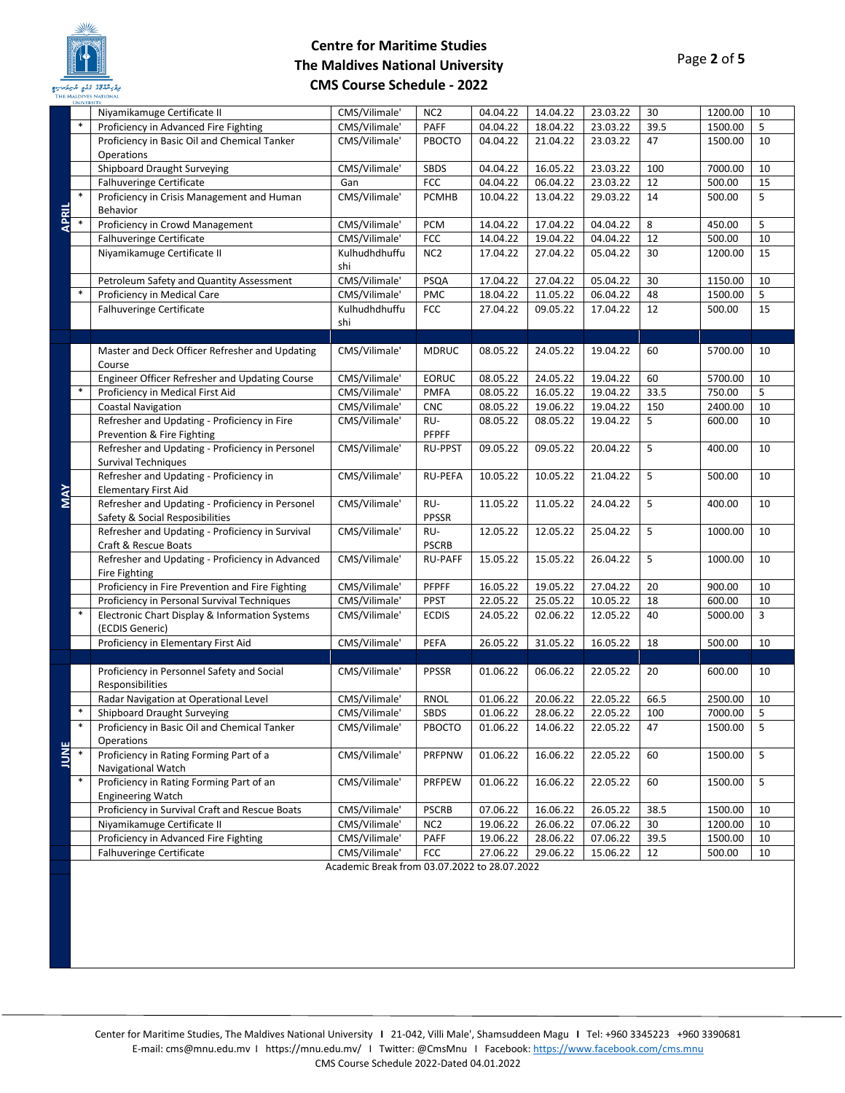

|              | <b>UNIVERSITY</b> |                                                                        |                                              |                 |          |          |          |      |         |    |
|--------------|-------------------|------------------------------------------------------------------------|----------------------------------------------|-----------------|----------|----------|----------|------|---------|----|
|              |                   | Niyamikamuge Certificate II                                            | CMS/Vilimale'                                | NC <sub>2</sub> | 04.04.22 | 14.04.22 | 23.03.22 | 30   | 1200.00 | 10 |
|              | $\ast$            | Proficiency in Advanced Fire Fighting                                  | CMS/Vilimale'                                | PAFF            | 04.04.22 | 18.04.22 | 23.03.22 | 39.5 | 1500.00 | 5  |
|              |                   | Proficiency in Basic Oil and Chemical Tanker                           | CMS/Vilimale'                                | PBOCTO          | 04.04.22 | 21.04.22 | 23.03.22 | 47   | 1500.00 | 10 |
|              |                   | Operations                                                             |                                              |                 |          |          |          |      |         |    |
|              |                   | Shipboard Draught Surveying                                            | CMS/Vilimale'                                | SBDS            | 04.04.22 | 16.05.22 | 23.03.22 | 100  | 7000.00 | 10 |
|              |                   | Falhuveringe Certificate                                               | Gan                                          | <b>FCC</b>      | 04.04.22 | 06.04.22 | 23.03.22 | 12   | 500.00  | 15 |
|              | $\ast$            | Proficiency in Crisis Management and Human                             | CMS/Vilimale'                                | PCMHB           | 10.04.22 | 13.04.22 | 29.03.22 | 14   | 500.00  | 5  |
| <b>APRIL</b> | $\ast$            | Behavior                                                               |                                              |                 |          |          |          |      |         |    |
|              |                   | Proficiency in Crowd Management                                        | CMS/Vilimale'                                | <b>PCM</b>      | 14.04.22 | 17.04.22 | 04.04.22 | 8    | 450.00  | 5  |
|              |                   | Falhuveringe Certificate<br>Niyamikamuge Certificate II                | CMS/Vilimale'                                | FCC             | 14.04.22 | 19.04.22 | 04.04.22 | 12   | 500.00  | 10 |
|              |                   |                                                                        | Kulhudhdhuffu<br>shi                         | NC <sub>2</sub> | 17.04.22 | 27.04.22 | 05.04.22 | 30   | 1200.00 | 15 |
|              |                   | Petroleum Safety and Quantity Assessment                               | CMS/Vilimale'                                | PSQA            | 17.04.22 | 27.04.22 | 05.04.22 | 30   | 1150.00 | 10 |
|              | $\ast$            | Proficiency in Medical Care                                            | CMS/Vilimale'                                | <b>PMC</b>      | 18.04.22 | 11.05.22 | 06.04.22 | 48   | 1500.00 | 5  |
|              |                   | Falhuveringe Certificate                                               | Kulhudhdhuffu                                | FCC             | 27.04.22 | 09.05.22 | 17.04.22 | 12   | 500.00  | 15 |
|              |                   |                                                                        | shi                                          |                 |          |          |          |      |         |    |
|              |                   |                                                                        |                                              |                 |          |          |          |      |         |    |
|              |                   | Master and Deck Officer Refresher and Updating                         | CMS/Vilimale'                                | <b>MDRUC</b>    | 08.05.22 | 24.05.22 | 19.04.22 | 60   | 5700.00 | 10 |
|              |                   | Course                                                                 |                                              |                 |          |          |          |      |         |    |
|              |                   | Engineer Officer Refresher and Updating Course                         | CMS/Vilimale'                                | <b>EORUC</b>    | 08.05.22 | 24.05.22 | 19.04.22 | 60   | 5700.00 | 10 |
|              | $\ast$            | Proficiency in Medical First Aid                                       | CMS/Vilimale'                                | <b>PMFA</b>     | 08.05.22 | 16.05.22 | 19.04.22 | 33.5 | 750.00  | 5  |
|              |                   | <b>Coastal Navigation</b>                                              | CMS/Vilimale'                                | <b>CNC</b>      | 08.05.22 | 19.06.22 | 19.04.22 | 150  | 2400.00 | 10 |
|              |                   | Refresher and Updating - Proficiency in Fire                           | CMS/Vilimale'                                | RU-             | 08.05.22 | 08.05.22 | 19.04.22 | 5    | 600.00  | 10 |
|              |                   | Prevention & Fire Fighting                                             |                                              | PFPFF           |          |          |          |      |         |    |
|              |                   | Refresher and Updating - Proficiency in Personel                       | CMS/Vilimale'                                | <b>RU-PPST</b>  | 09.05.22 | 09.05.22 | 20.04.22 | 5    | 400.00  | 10 |
|              |                   | <b>Survival Techniques</b>                                             |                                              |                 |          |          |          |      |         |    |
|              |                   | Refresher and Updating - Proficiency in<br><b>Elementary First Aid</b> | CMS/Vilimale'                                | <b>RU-PEFA</b>  | 10.05.22 | 10.05.22 | 21.04.22 | 5    | 500.00  | 10 |
| <b>MAY</b>   |                   | Refresher and Updating - Proficiency in Personel                       | CMS/Vilimale'                                | RU-             | 11.05.22 | 11.05.22 | 24.04.22 | 5    | 400.00  | 10 |
|              |                   | Safety & Social Resposibilities                                        |                                              | <b>PPSSR</b>    |          |          |          |      |         |    |
|              |                   | Refresher and Updating - Proficiency in Survival                       | CMS/Vilimale'                                | RU-             | 12.05.22 | 12.05.22 | 25.04.22 | 5    | 1000.00 | 10 |
|              |                   | Craft & Rescue Boats                                                   |                                              | <b>PSCRB</b>    |          |          |          |      |         |    |
|              |                   | Refresher and Updating - Proficiency in Advanced                       | CMS/Vilimale'                                | <b>RU-PAFF</b>  | 15.05.22 | 15.05.22 | 26.04.22 | 5    | 1000.00 | 10 |
|              |                   | Fire Fighting                                                          |                                              |                 |          |          |          |      |         |    |
|              |                   | Proficiency in Fire Prevention and Fire Fighting                       | CMS/Vilimale'                                | PFPFF           | 16.05.22 | 19.05.22 | 27.04.22 | 20   | 900.00  | 10 |
|              |                   | Proficiency in Personal Survival Techniques                            | CMS/Vilimale'                                | <b>PPST</b>     | 22.05.22 | 25.05.22 | 10.05.22 | 18   | 600.00  | 10 |
|              |                   | Electronic Chart Display & Information Systems                         | CMS/Vilimale'                                | <b>ECDIS</b>    | 24.05.22 | 02.06.22 | 12.05.22 | 40   | 5000.00 | 3  |
|              |                   | (ECDIS Generic)                                                        |                                              |                 |          |          |          |      |         |    |
|              |                   | Proficiency in Elementary First Aid                                    | CMS/Vilimale'                                | PEFA            | 26.05.22 | 31.05.22 | 16.05.22 | 18   | 500.00  | 10 |
|              |                   |                                                                        |                                              |                 |          |          |          |      |         |    |
|              |                   | Proficiency in Personnel Safety and Social<br>Responsibilities         | CMS/Vilimale'                                | <b>PPSSR</b>    | 01.06.22 | 06.06.22 | 22.05.22 | 20   | 600.00  | 10 |
|              |                   | Radar Navigation at Operational Level                                  | CMS/Vilimale'                                | <b>RNOL</b>     | 01.06.22 | 20.06.22 | 22.05.22 | 66.5 | 2500.00 | 10 |
|              | $\ast$            | Shipboard Draught Surveying                                            | CMS/Vilimale'                                | SBDS            | 01.06.22 | 28.06.22 | 22.05.22 | 100  | 7000.00 | 5  |
|              | $\ast$            | Proficiency in Basic Oil and Chemical Tanker                           | CMS/Vilimale'                                | PBOCTO          | 01.06.22 | 14.06.22 | 22.05.22 | 47   | 1500.00 | 5  |
|              |                   | Operations                                                             |                                              |                 |          |          |          |      |         |    |
| <b>JUNE</b>  | $\ast$            | Proficiency in Rating Forming Part of a                                | CMS/Vilimale'                                | PRFPNW          | 01.06.22 | 16.06.22 | 22.05.22 | 60   | 1500.00 | 5  |
|              |                   | Navigational Watch                                                     |                                              |                 |          |          |          |      |         |    |
|              | $\ast$            | Proficiency in Rating Forming Part of an                               | CMS/Vilimale'                                | PRFPEW          | 01.06.22 | 16.06.22 | 22.05.22 | 60   | 1500.00 | 5  |
|              |                   | <b>Engineering Watch</b>                                               |                                              |                 |          |          |          |      |         |    |
|              |                   | Proficiency in Survival Craft and Rescue Boats                         | CMS/Vilimale'                                | <b>PSCRB</b>    | 07.06.22 | 16.06.22 | 26.05.22 | 38.5 | 1500.00 | 10 |
|              |                   | Niyamikamuge Certificate II                                            | CMS/Vilimale'                                | NC <sub>2</sub> | 19.06.22 | 26.06.22 | 07.06.22 | 30   | 1200.00 | 10 |
|              |                   | Proficiency in Advanced Fire Fighting                                  | CMS/Vilimale'                                | PAFF            | 19.06.22 | 28.06.22 | 07.06.22 | 39.5 | 1500.00 | 10 |
|              |                   | Falhuveringe Certificate                                               | CMS/Vilimale'                                | <b>FCC</b>      | 27.06.22 | 29.06.22 | 15.06.22 | 12   | 500.00  | 10 |
|              |                   |                                                                        | Academic Break from 03.07.2022 to 28.07.2022 |                 |          |          |          |      |         |    |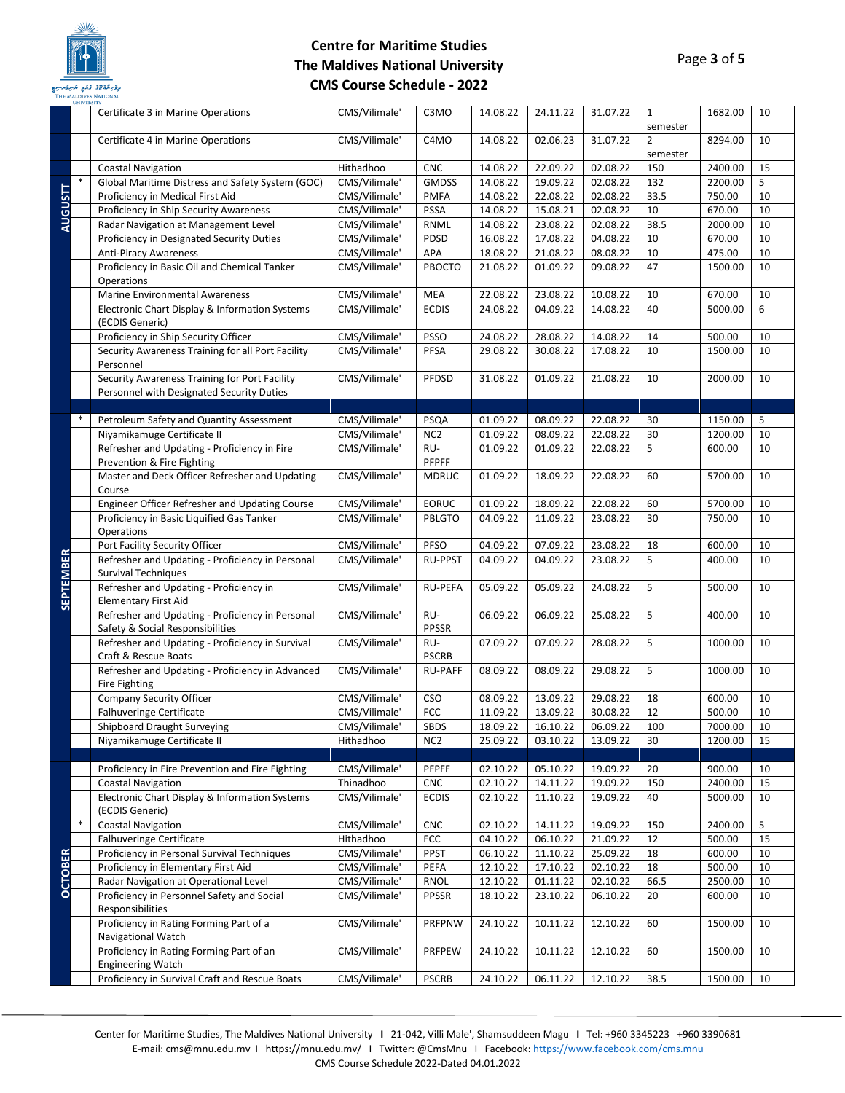

|                  | THE MALDIVES INATIONAL<br><b>UNIVERSITY</b><br>Certificate 3 in Marine Operations           | CMS/Vilimale'                  | C3MO                          | 14.08.22             | 24.11.22             | 31.07.22             | $\mathbf{1}$    | 1682.00            | 10       |
|------------------|---------------------------------------------------------------------------------------------|--------------------------------|-------------------------------|----------------------|----------------------|----------------------|-----------------|--------------------|----------|
|                  |                                                                                             |                                |                               |                      |                      |                      | semester        |                    |          |
|                  | Certificate 4 in Marine Operations                                                          | CMS/Vilimale'                  | C4MO                          | 14.08.22             | 02.06.23             | 31.07.22             | $\overline{2}$  | 8294.00            | 10       |
|                  | <b>Coastal Navigation</b>                                                                   | Hithadhoo                      | <b>CNC</b>                    | 14.08.22             | 22.09.22             | 02.08.22             | semester<br>150 | 2400.00            | 15       |
|                  | Global Maritime Distress and Safety System (GOC)                                            | CMS/Vilimale'                  | <b>GMDSS</b>                  | 14.08.22             | 19.09.22             | 02.08.22             | 132             | 2200.00            | 5        |
| AUGUSTT          | Proficiency in Medical First Aid                                                            | CMS/Vilimale'                  | <b>PMFA</b>                   | 14.08.22             | 22.08.22             | 02.08.22             | 33.5            | 750.00             | 10       |
|                  | Proficiency in Ship Security Awareness                                                      | CMS/Vilimale'                  | <b>PSSA</b>                   | 14.08.22             | 15.08.21             | 02.08.22             | 10              | 670.00             | 10       |
|                  | Radar Navigation at Management Level                                                        | CMS/Vilimale'                  | RNML                          | 14.08.22             | 23.08.22             | 02.08.22             | 38.5            | 2000.00            | 10       |
|                  | Proficiency in Designated Security Duties                                                   | CMS/Vilimale'                  | PDSD                          | 16.08.22             | 17.08.22             | 04.08.22             | 10              | 670.00             | 10       |
|                  | <b>Anti-Piracy Awareness</b>                                                                | CMS/Vilimale'                  | APA                           | 18.08.22             | 21.08.22             | 08.08.22             | 10              | 475.00             | 10       |
|                  | Proficiency in Basic Oil and Chemical Tanker                                                | CMS/Vilimale'                  | PBOCTO                        | 21.08.22             | 01.09.22             | 09.08.22             | 47              | 1500.00            | 10       |
|                  | Operations                                                                                  |                                |                               |                      |                      |                      |                 |                    |          |
|                  | <b>Marine Environmental Awareness</b>                                                       | CMS/Vilimale'                  | <b>MEA</b>                    | 22.08.22             | 23.08.22             | 10.08.22             | 10              | 670.00             | 10       |
|                  | Electronic Chart Display & Information Systems                                              | CMS/Vilimale'                  | <b>ECDIS</b>                  | 24.08.22             | 04.09.22             | 14.08.22             | 40              | 5000.00            | 6        |
|                  | (ECDIS Generic)                                                                             |                                |                               |                      |                      |                      |                 |                    |          |
|                  | Proficiency in Ship Security Officer                                                        | CMS/Vilimale'                  | <b>PSSO</b>                   | 24.08.22             | 28.08.22             | 14.08.22             | 14              | 500.00             | 10       |
|                  | Security Awareness Training for all Port Facility<br>Personnel                              | CMS/Vilimale'                  | <b>PFSA</b>                   | 29.08.22             | 30.08.22             | 17.08.22             | 10              | 1500.00            | 10       |
|                  | Security Awareness Training for Port Facility                                               | CMS/Vilimale'                  | PFDSD                         | 31.08.22             | 01.09.22             | 21.08.22             | 10              | 2000.00            | 10       |
|                  | Personnel with Designated Security Duties                                                   |                                |                               |                      |                      |                      |                 |                    |          |
|                  |                                                                                             |                                |                               |                      |                      |                      |                 |                    |          |
|                  | Petroleum Safety and Quantity Assessment                                                    | CMS/Vilimale'                  | PSQA                          | 01.09.22             | 08.09.22             | 22.08.22             | 30              | 1150.00            | 5        |
|                  | Niyamikamuge Certificate II                                                                 | CMS/Vilimale'                  | NC <sub>2</sub>               | 01.09.22             | 08.09.22             | 22.08.22             | 30              | 1200.00            | 10       |
|                  | Refresher and Updating - Proficiency in Fire                                                | CMS/Vilimale'                  | RU-                           | 01.09.22             | 01.09.22             | 22.08.22             | 5               | 600.00             | 10       |
|                  | Prevention & Fire Fighting                                                                  |                                | PFPFF                         |                      |                      |                      |                 |                    |          |
|                  | Master and Deck Officer Refresher and Updating                                              | CMS/Vilimale'                  | <b>MDRUC</b>                  | 01.09.22             | 18.09.22             | 22.08.22             | 60              | 5700.00            | 10       |
|                  | Course                                                                                      |                                |                               |                      |                      |                      |                 |                    |          |
|                  | Engineer Officer Refresher and Updating Course<br>Proficiency in Basic Liquified Gas Tanker | CMS/Vilimale'<br>CMS/Vilimale' | <b>EORUC</b><br><b>PBLGTO</b> | 01.09.22<br>04.09.22 | 18.09.22             | 22.08.22             | 60<br>30        | 5700.00<br>750.00  | 10<br>10 |
|                  | Operations                                                                                  |                                |                               |                      | 11.09.22             | 23.08.22             |                 |                    |          |
|                  | Port Facility Security Officer                                                              | CMS/Vilimale'                  | PFSO                          | 04.09.22             | 07.09.22             | 23.08.22             | 18              | 600.00             | 10       |
|                  | Refresher and Updating - Proficiency in Personal                                            | CMS/Vilimale'                  | <b>RU-PPST</b>                | 04.09.22             | 04.09.22             | 23.08.22             | 5               | 400.00             | 10       |
| <b>SEPTEMBER</b> | Survival Techniques                                                                         |                                |                               |                      |                      |                      |                 |                    |          |
|                  | Refresher and Updating - Proficiency in                                                     | CMS/Vilimale'                  | <b>RU-PEFA</b>                | 05.09.22             | 05.09.22             | 24.08.22             | 5               | 500.00             | 10       |
|                  | <b>Elementary First Aid</b><br>Refresher and Updating - Proficiency in Personal             | CMS/Vilimale'                  | RU-                           | 06.09.22             | 06.09.22             | 25.08.22             | 5               | 400.00             | 10       |
|                  | Safety & Social Responsibilities                                                            |                                | <b>PPSSR</b>                  |                      |                      |                      |                 |                    |          |
|                  | Refresher and Updating - Proficiency in Survival                                            | CMS/Vilimale'                  | RU-                           | 07.09.22             | 07.09.22             | 28.08.22             | 5               | 1000.00            | 10       |
|                  | Craft & Rescue Boats                                                                        |                                | <b>PSCRB</b>                  |                      |                      |                      |                 |                    |          |
|                  | Refresher and Updating - Proficiency in Advanced                                            | CMS/Vilimale'                  | <b>RU-PAFF</b>                | 08.09.22             | 08.09.22             | 29.08.22             | 5               | 1000.00            | 10       |
|                  | Fire Fighting                                                                               |                                |                               |                      |                      |                      |                 |                    |          |
|                  | Company Security Officer                                                                    | CMS/Vilimale'                  | <b>CSO</b>                    | 08.09.22             | 13.09.22             | 29.08.22             | 18              | 600.00             | 10       |
|                  | <b>Falhuveringe Certificate</b>                                                             | CMS/Vilimale'                  | FCC                           | 11.09.22             | 13.09.22             | 30.08.22             | 12              | 500.00             | 10       |
|                  | Shipboard Draught Surveying<br>Niyamikamuge Certificate II                                  | CMS/Vilimale'<br>Hithadhoo     | SBDS<br>NC <sub>2</sub>       | 18.09.22<br>25.09.22 | 16.10.22<br>03.10.22 | 06.09.22<br>13.09.22 | 100<br>30       | 7000.00<br>1200.00 | 10<br>15 |
|                  |                                                                                             |                                |                               |                      |                      |                      |                 |                    |          |
|                  | Proficiency in Fire Prevention and Fire Fighting                                            | CMS/Vilimale'                  | <b>PFPFF</b>                  | 02.10.22             | 05.10.22             | 19.09.22             | 20              | 900.00             | 10       |
|                  | <b>Coastal Navigation</b>                                                                   | Thinadhoo                      | <b>CNC</b>                    | 02.10.22             | 14.11.22             | 19.09.22             | 150             | 2400.00            | 15       |
|                  | Electronic Chart Display & Information Systems                                              | CMS/Vilimale'                  | <b>ECDIS</b>                  | 02.10.22             | 11.10.22             | 19.09.22             | 40              | 5000.00            | 10       |
|                  | (ECDIS Generic)                                                                             |                                |                               |                      |                      |                      |                 |                    |          |
| $\ast$           | <b>Coastal Navigation</b>                                                                   | CMS/Vilimale'                  | <b>CNC</b>                    | 02.10.22             | 14.11.22             | 19.09.22             | 150             | 2400.00            | 5        |
|                  | Falhuveringe Certificate                                                                    | Hithadhoo                      | <b>FCC</b>                    | 04.10.22             | 06.10.22             | 21.09.22             | 12              | 500.00             | 15       |
|                  | Proficiency in Personal Survival Techniques                                                 | CMS/Vilimale'                  | <b>PPST</b>                   | 06.10.22             | 11.10.22             | 25.09.22             | 18              | 600.00             | 10       |
|                  | Proficiency in Elementary First Aid                                                         | CMS/Vilimale'                  | PEFA                          | 12.10.22             | 17.10.22             | 02.10.22             | 18              | 500.00             | 10       |
| <b>OCTOBER</b>   | Radar Navigation at Operational Level                                                       | CMS/Vilimale'                  | <b>RNOL</b>                   | 12.10.22             | 01.11.22             | 02.10.22             | 66.5            | 2500.00            | 10       |
|                  | Proficiency in Personnel Safety and Social<br>Responsibilities                              | CMS/Vilimale'                  | PPSSR                         | 18.10.22             | 23.10.22             | 06.10.22             | 20              | 600.00             | 10       |
|                  | Proficiency in Rating Forming Part of a                                                     | CMS/Vilimale'                  | PRFPNW                        | 24.10.22             | 10.11.22             | 12.10.22             | 60              | 1500.00            | 10       |
|                  | Navigational Watch                                                                          |                                |                               |                      |                      |                      |                 |                    |          |
|                  | Proficiency in Rating Forming Part of an                                                    | CMS/Vilimale'                  | PRFPEW                        | 24.10.22             | 10.11.22             | 12.10.22             | 60              | 1500.00            | 10       |
|                  | <b>Engineering Watch</b>                                                                    |                                |                               |                      |                      |                      |                 |                    |          |
|                  | Proficiency in Survival Craft and Rescue Boats                                              | CMS/Vilimale'                  | <b>PSCRB</b>                  | 24.10.22             | 06.11.22             | 12.10.22             | 38.5            | 1500.00            | 10       |

Center for Maritime Studies, The Maldives National University **I** 21-042, Villi Male', Shamsuddeen Magu **I** Tel: +960 3345223 +960 3390681 E-mail: cms@mnu.edu.mv I https://mnu.edu.mv/ I Twitter: @CmsMnu I Facebook: <https://www.facebook.com/cms.mnu> CMS Course Schedule 2022-Dated 04.01.2022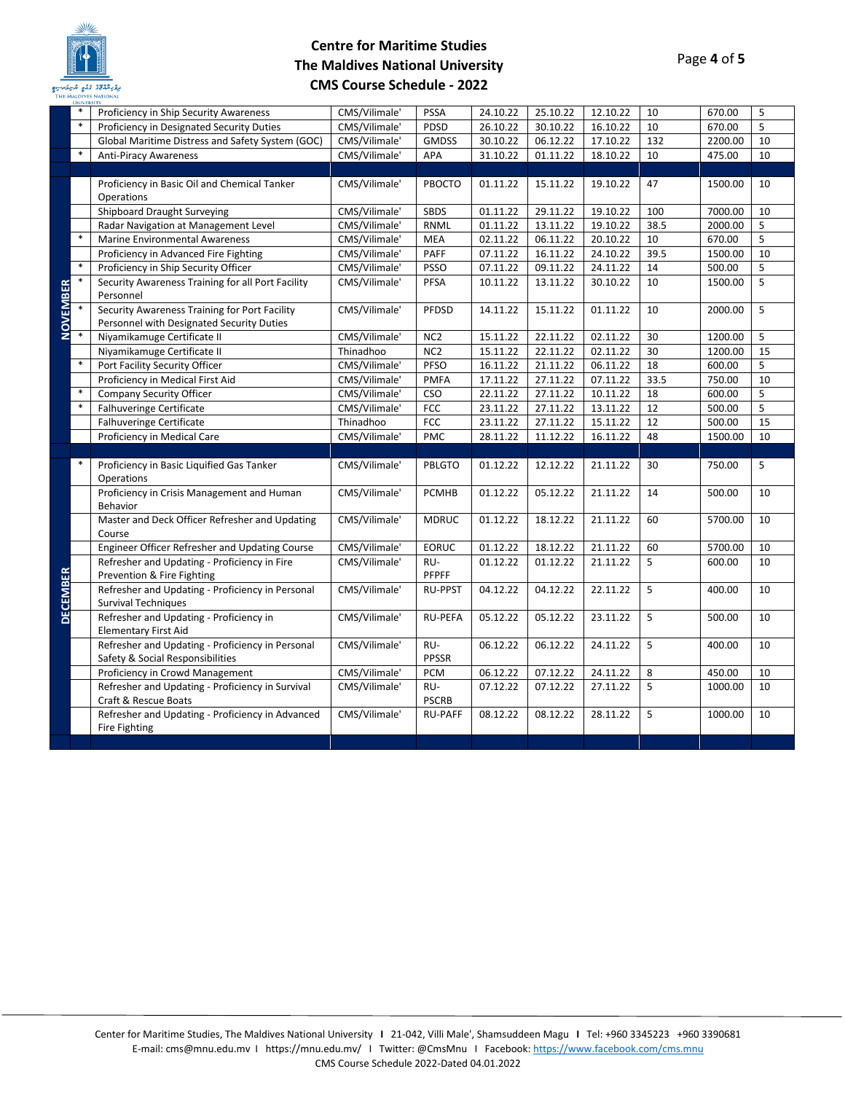

|                 | <b>UNIVE</b> |                                                                                 |               |                 |          |          |          |      |         |    |
|-----------------|--------------|---------------------------------------------------------------------------------|---------------|-----------------|----------|----------|----------|------|---------|----|
|                 | $\ast$       | Proficiency in Ship Security Awareness                                          | CMS/Vilimale' | <b>PSSA</b>     | 24.10.22 | 25.10.22 | 12.10.22 | 10   | 670.00  | 5  |
|                 | $\ast$       | Proficiency in Designated Security Duties                                       | CMS/Vilimale' | PDSD            | 26.10.22 | 30.10.22 | 16.10.22 | 10   | 670.00  | 5  |
|                 |              | Global Maritime Distress and Safety System (GOC)                                | CMS/Vilimale' | <b>GMDSS</b>    | 30.10.22 | 06.12.22 | 17.10.22 | 132  | 2200.00 | 10 |
|                 | $\ast$       | <b>Anti-Piracy Awareness</b>                                                    | CMS/Vilimale' | APA             | 31.10.22 | 01.11.22 | 18.10.22 | 10   | 475.00  | 10 |
|                 |              |                                                                                 |               |                 |          |          |          |      |         |    |
|                 |              | Proficiency in Basic Oil and Chemical Tanker                                    | CMS/Vilimale' | PBOCTO          | 01.11.22 | 15.11.22 | 19.10.22 | 47   | 1500.00 | 10 |
|                 |              | Operations                                                                      |               |                 |          |          |          |      |         |    |
|                 |              | Shipboard Draught Surveying                                                     | CMS/Vilimale' | <b>SBDS</b>     | 01.11.22 | 29.11.22 | 19.10.22 | 100  | 7000.00 | 10 |
|                 |              | Radar Navigation at Management Level                                            | CMS/Vilimale' | <b>RNML</b>     | 01.11.22 | 13.11.22 | 19.10.22 | 38.5 | 2000.00 | 5  |
|                 | $\ast$       | Marine Environmental Awareness                                                  | CMS/Vilimale' | <b>MEA</b>      | 02.11.22 | 06.11.22 | 20.10.22 | 10   | 670.00  | 5  |
|                 |              | Proficiency in Advanced Fire Fighting                                           | CMS/Vilimale' | PAFF            | 07.11.22 | 16.11.22 | 24.10.22 | 39.5 | 1500.00 | 10 |
|                 | $\ast$       | Proficiency in Ship Security Officer                                            | CMS/Vilimale' | PSSO            | 07.11.22 | 09.11.22 | 24.11.22 | 14   | 500.00  | 5  |
|                 | $\ast$       | Security Awareness Training for all Port Facility                               | CMS/Vilimale' | PFSA            | 10.11.22 | 13.11.22 | 30.10.22 | 10   | 1500.00 | 5  |
|                 |              | Personnel                                                                       |               |                 |          |          |          |      |         |    |
|                 |              | Security Awareness Training for Port Facility                                   | CMS/Vilimale' | PFDSD           | 14.11.22 | 15.11.22 | 01.11.22 | 10   | 2000.00 | 5  |
| <b>NOVEMBER</b> |              | Personnel with Designated Security Duties                                       |               |                 |          |          |          |      |         |    |
|                 | $\ast$       | Niyamikamuge Certificate II                                                     | CMS/Vilimale' | NC <sub>2</sub> | 15.11.22 | 22.11.22 | 02.11.22 | 30   | 1200.00 | 5  |
|                 |              | Niyamikamuge Certificate II                                                     | Thinadhoo     | NC <sub>2</sub> | 15.11.22 | 22.11.22 | 02.11.22 | 30   | 1200.00 | 15 |
|                 | $\ast$       | Port Facility Security Officer                                                  | CMS/Vilimale' | PFSO            | 16.11.22 | 21.11.22 | 06.11.22 | 18   | 600.00  | 5  |
|                 |              | Proficiency in Medical First Aid                                                | CMS/Vilimale' | <b>PMFA</b>     | 17.11.22 | 27.11.22 | 07.11.22 | 33.5 | 750.00  | 10 |
|                 | $\ast$       | Company Security Officer                                                        | CMS/Vilimale' | <b>CSO</b>      | 22.11.22 | 27.11.22 | 10.11.22 | 18   | 600.00  | 5  |
|                 | $\ast$       | Falhuveringe Certificate                                                        | CMS/Vilimale' | FCC             | 23.11.22 | 27.11.22 | 13.11.22 | 12   | 500.00  | 5  |
|                 |              | Falhuveringe Certificate                                                        | Thinadhoo     | FCC             | 23.11.22 | 27.11.22 | 15.11.22 | 12   | 500.00  | 15 |
|                 |              | Proficiency in Medical Care                                                     | CMS/Vilimale' | PMC             | 28.11.22 | 11.12.22 | 16.11.22 | 48   | 1500.00 | 10 |
|                 |              |                                                                                 |               |                 |          |          |          |      |         |    |
|                 |              | Proficiency in Basic Liquified Gas Tanker                                       | CMS/Vilimale' | PBLGTO          | 01.12.22 | 12.12.22 | 21.11.22 | 30   | 750.00  | 5  |
|                 |              | Operations                                                                      |               |                 |          |          |          |      |         |    |
|                 |              | Proficiency in Crisis Management and Human                                      | CMS/Vilimale' | <b>PCMHB</b>    | 01.12.22 | 05.12.22 | 21.11.22 | 14   | 500.00  | 10 |
|                 |              | <b>Behavior</b>                                                                 |               |                 |          |          |          |      |         |    |
|                 |              | Master and Deck Officer Refresher and Updating                                  | CMS/Vilimale' | <b>MDRUC</b>    | 01.12.22 | 18.12.22 | 21.11.22 | 60   | 5700.00 | 10 |
|                 |              | Course                                                                          |               |                 |          |          |          |      |         |    |
|                 |              | Engineer Officer Refresher and Updating Course                                  | CMS/Vilimale' | <b>EORUC</b>    | 01.12.22 | 18.12.22 | 21.11.22 | 60   | 5700.00 | 10 |
|                 |              | Refresher and Updating - Proficiency in Fire                                    | CMS/Vilimale' | RU-             | 01.12.22 | 01.12.22 | 21.11.22 | 5    | 600.00  | 10 |
| <b>DECEMBER</b> |              | Prevention & Fire Fighting                                                      |               | <b>PFPFF</b>    |          |          |          |      |         |    |
|                 |              | Refresher and Updating - Proficiency in Personal                                | CMS/Vilimale' | <b>RU-PPST</b>  | 04.12.22 | 04.12.22 | 22.11.22 | 5    | 400.00  | 10 |
|                 |              | <b>Survival Techniques</b>                                                      |               |                 |          |          |          |      |         |    |
|                 |              | Refresher and Updating - Proficiency in                                         | CMS/Vilimale' | <b>RU-PEFA</b>  | 05.12.22 | 05.12.22 | 23.11.22 | 5    | 500.00  | 10 |
|                 |              | <b>Elementary First Aid</b><br>Refresher and Updating - Proficiency in Personal | CMS/Vilimale' | RU-             | 06.12.22 |          |          | 5    | 400.00  | 10 |
|                 |              | Safety & Social Responsibilities                                                |               | PPSSR           |          | 06.12.22 | 24.11.22 |      |         |    |
|                 |              | Proficiency in Crowd Management                                                 | CMS/Vilimale' | <b>PCM</b>      | 06.12.22 | 07.12.22 | 24.11.22 | 8    | 450.00  | 10 |
|                 |              | Refresher and Updating - Proficiency in Survival                                | CMS/Vilimale' | RU-             | 07.12.22 | 07.12.22 | 27.11.22 | 5    | 1000.00 | 10 |
|                 |              | Craft & Rescue Boats                                                            |               | <b>PSCRB</b>    |          |          |          |      |         |    |
|                 |              | Refresher and Updating - Proficiency in Advanced                                | CMS/Vilimale' | <b>RU-PAFF</b>  | 08.12.22 | 08.12.22 | 28.11.22 | 5    | 1000.00 | 10 |
|                 |              | <b>Fire Fighting</b>                                                            |               |                 |          |          |          |      |         |    |
|                 |              |                                                                                 |               |                 |          |          |          |      |         |    |
|                 |              |                                                                                 |               |                 |          |          |          |      |         |    |